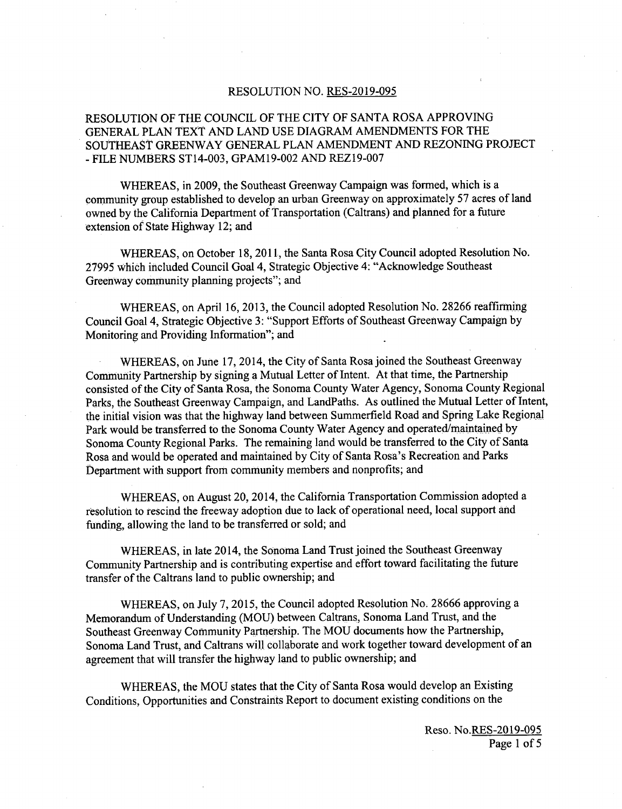### RESOLUTION NO. RES-2019-095

# RESOLUTION OF THE COUNCIL OF THE CITY OF SANTA ROSA APPROVING GENERAL PLAN TEXT AND LAND USE DIAGRAM AMENDMENTS FOR THE SOUTHEAST GREENWAY GENERAL PLAN AMENDMENT AND REZONING PROJECT - FILE NUMBERS ST14-003, GPAM19-002 AND REZ19-007

WHEREAS, in 2009, the Southeast Greenway Campaign was formed, which is a community group established to develop an urban Greenway on approximately 57 acres of land owned by the California Department of Transportation ( Caltrans) and planned for <sup>a</sup> future extension of State Highway 12; and

WHEREAS, on October 18, 2011, the Santa Rosa City Council adopted Resolution No. 27995 which included Council Goal 4, Strategic Objective 4: " Acknowledge Southeast Greenway community planning projects"; and

WHEREAS, on April 16, 2013, the Council adopted Resolution No. 28266 reaffirming Council Goal 4, Strategic Objective 3: " Support Efforts of Southeast Greenway Campaign by Monitoring and Providing Information"; and

WHEREAS, on June 17, 2014, the City of Santa Rosa joined the Southeast Greenway Community Partnership by signing a Mutual Letter of Intent. At that time, the Partnership consisted of the City of Santa Rosa, the Sonoma County Water Agency, Sonoma County Regional Parks, the Southeast Greenway Campaign, and LandPaths. As outlined the Mutual Letter of Intent, the initial vision was that the highway land between Summerfield Road and Spring Lake Regional Park would be transferred to the Sonoma County Water Agency and operated/maintained by Sonoma County Regional Parks. The remaining land would be transferred to the City of Santa Rosa and would be operated and maintained by City of Santa Rosa's Recreation and Parks Department with support from community members and nonprofits; and

WHEREAS, on August 20, 2014, the California Transportation Commission adopted a resolution to rescind the freeway adoption due to lack of operational need, local support and funding, allowing the land to be transferred or sold; and

WHEREAS, in late 2014, the Sonoma Land Trust joined the Southeast Greenway Community Partnership and is contributing expertise and effort toward facilitating the future transfer of the Caltrans land to public ownership; and

WHEREAS, on July 7, 2015, the Council adopted Resolution No. 28666 approving a Memorandum of Understanding ( MOU) between Caltrans, Sonoma Land Trust, and the Southeast Greenway Community Partnership. The MOU documents how the Partnership, Sonoma Land Trust, and Caltrans will collaborate and work together toward development of an agreement that will transfer the highway land to public ownership; and

WHEREAS, the MOU states that the City of Santa Rosa would develop an Existing Conditions, Opportunities and Constraints Report to document existing conditions on the

> Reso. No.RES-2019-095 Page <sup>1</sup> of <sup>5</sup>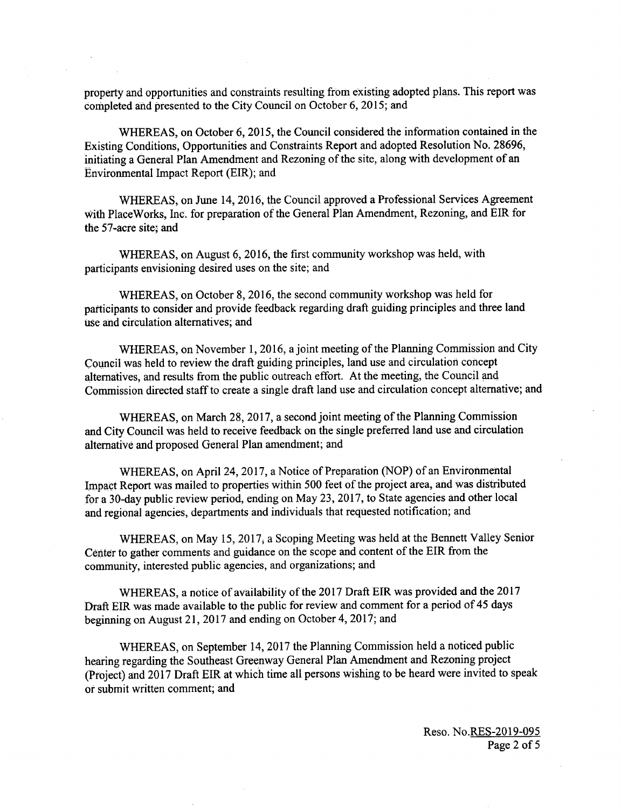property and opportunities and constraints resulting from existing adopted plans. This report was completed and presented to the City Council on October 6, 2015; and

WHEREAS, on October 6, 2015, the Council considered the information contained in the Existing Conditions, Opportunities and Constraints Report and adopted Resolution No. 28696, initiating <sup>a</sup> General Plan Amendment and Rezoning of the site, along with development of an Environmental Impact Report (EIR); and

WHEREAS, on June 14, 2016, the Council approved a Professional Services Agreement with PlaceWorks, Inc. for preparation of the General Plan Amendment, Rezoning, and EIR for the 57-acre site, and

WHEREAS, on August 6, 2016, the first community workshop was held, with participants envisioning desired uses on the site; and

WHEREAS, on October 8, 2016, the second community workshop was held for participants to consider and provide feedback regarding draft guiding principles and three land use and circulation alternatives; and

WHEREAS, on November 1, 2016, a joint meeting of the Planning Commission and City Council was held to review the draft guiding principles, land use and circulation concept alternatives, and results from the public outreach effort. At the meeting, the Council and Commission directed staff to create <sup>a</sup> single draft land use and circulation concept alternative; and

WHEREAS, on March 28, 2017, a second joint meeting of the Planning Commission and City Council was held to receive feedback on the single preferred land use and circulation alternative and proposed General Plan amendment; and

WHEREAS, on April 24, 2017, a Notice of Preparation (NOP) of an Environmental Impact Report was mailed to properties within 500 feet of the project area, and was distributed for a 30- day public review period, ending on May 23, 2017, to State agencies and other local and regional agencies, departments and individuals that requested notification; and

WHEREAS, on May 15, 2017, a Scoping Meeting was held at the Bennett Valley Senior Center to gather comments and guidance on the scope and content of the EIR from the community, interested public agencies, and organizations; and

WHEREAS, a notice of availability of the 2017 Draft EIR was provided and the 2017 Draft EIR was made available to the public for review and comment for a period of 45 days beginning on August 21, 2017 and ending on October 4, 2017; and

WHEREAS, on September 14, 2017 the Planning Commission held a noticed public hearing regarding the Southeast Greenway General Plan Amendment and Rezoning project Project) and 2017 Draft EIR at which time all persons wishing to be heard were invited to speak or submit written comment; and

> Reso. No. RES-2019-095 Page 2 of <sup>5</sup>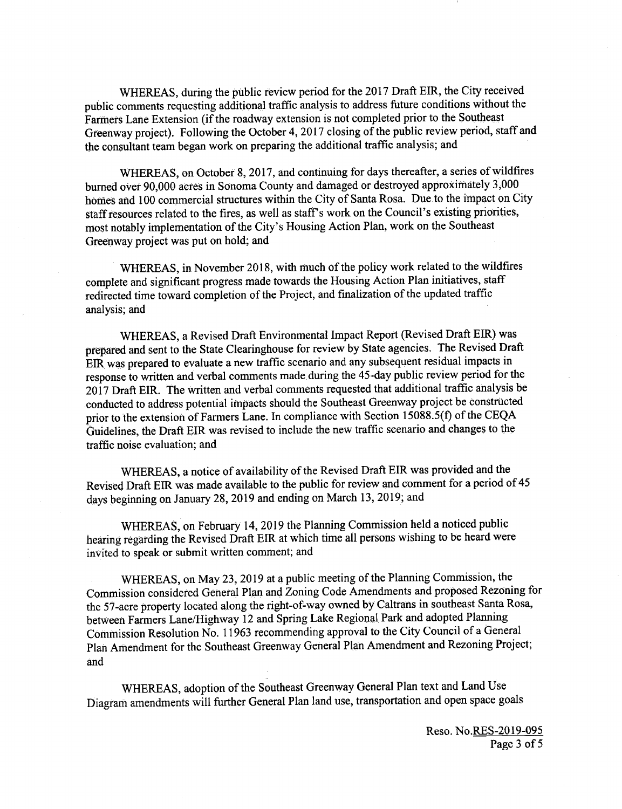WHEREAS, during the public review period for the 2017 Draft EIR, the City received public comments requesting additional traffic analysis to address future conditions without the Farmers Lane Extension (if the roadway extension is not completed prior to the Southeast Greenway project). Following the October 4, 2017 closing of the public review period, staff and the consultant team began work on preparing the additional traffic analysis; and

WHEREAS, on October 8, 2017, and continuing for days thereafter, a series of wildfires burned over 90,000 acres in Sonoma County and damaged or destroyed approximately 3, 000 homes and 100 commercial structures within the City of Santa Rosa. Due to the impact on City staff resources related to the fires, as well as staff's work on the Council's existing priorities, most notably implementation of the City's Housing Action Plan, work on the Southeast Greenway project was put on hold; and

WHEREAS, in November 2018, with much of the policy work related to the wildfires complete and significant progress made towards the Housing Action Plan initiatives, staff redirected time toward completion of the Project, and finalization of the updated traffic analysis; and

WHEREAS, a Revised Draft Environmental Impact Report ( Revised Draft EIR) was prepared and sent to the State Clearinghouse for review by State agencies. The Revised Draft EIR was prepared to evaluate a new traffic scenario and any subsequent residual impacts in response to written and verbal comments made. during the 45- day public review period for the 2017 Draft EIR. The written and verbal comments requested that additional traffic analysis be conducted to address potential impacts should the Southeast Greenway project be constructed prior to the extension of Farmers Lane. In compliance with Section 15088.5(f) of the CEQA Guidelines, the Draft EIR was revised to include the new traffic scenario and changes to the traffic noise evaluation; and

WHEREAS, a notice of availability of the Revised Draft EIR was provided and the Revised Draft EIR was made available to the public for review and comment for a period of 45 days beginning on January 28, 2019 and ending on March 13, 2019; and

WHEREAS, on February 14, 2019 the Planning Commission held a noticed public hearing regarding the Revised Draft EIR at which time all persons wishing to be heard were invited to speak or submit written comment; and

WHEREAS, on May 23, 2019 at a public meeting of the Planning Commission, the Commission considered General Plan and Zoning Code Amendments and proposed Rezoning for the 57-acre property located along the right-of-way owned by Caltrans in southeast Santa Rosa, between Farmers Lane/Highway 12 and Spring Lake Regional Park and adopted Planning Commission Resolution No. 11963 recommending approval to the City Council of <sup>a</sup> General Plan Amendment for the Southeast Greenway General Plan Amendment and Rezoning Project; and

WHEREAS, adoption of the Southeast Greenway General Plan text and Land Use Diagram amendments will further General Plan land use, transportation and open space goals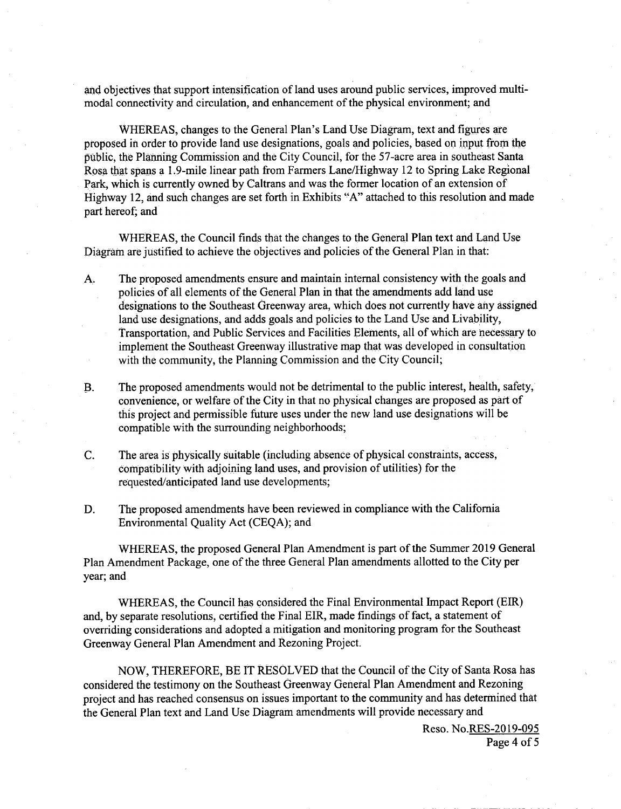and objectives that support intensification of land uses around public services, improved multimodal connectivity and circulation, and enhancement of the physical environment; and

WHEREAS, changes to the General Plan's Land Use Diagram, text and figures are proposed in order to provide land use designations, goals and policies, based on input from the public, the Planning Commission and the City Council, for the 57-acre area in southeast Santa Rosa that spans a 1. 9- mile linear path from Farmers Lane/ Highway 12 to Spring Lake Regional Park, which is currently owned by Caltrans and was the former location of an extension of Highway 12, and such changes are set forth in Exhibits "A" attached to this resolution and made part hereof, and

WHEREAS, the Council finds that the changes to the General Plan text and Land Use Diagram are justified to achieve the objectives and policies of the General Plan in that:

- A: The proposed amendments ensure and maintain internal consistency with the goals and policies of all elements of the General Plan in that the amendments add land use designations to the Southeast Greenway area, which does not currently have any assigned land use designations, and adds goals and policies to the Land Use and Livability, Transportation, and Public Services and Facilities Elements, all of which are necessary to implement the Southeast Greenway illustrative map that was developed in consultation with the community, the Planning Commission and the City Council;
- B. The proposed amendments would not be detrimental to the public interest, health, safety, convenience, or welfare of the City in that no physical changes are proposed as part of this project and permissible future uses under the new land use designations will be compatible with the surrounding neighborhoods;
- C. The area is physically suitable ( including absence of physical constraints, access, compatibility with adjoining land uses, and provision of utilities) for the requested/anticipated land use developments;
- D. The proposed amendments have been reviewed in compliance with the California Environmental Quality Act (CEQA); and

WHEREAS, the proposed General Plan Amendment is part of the Summer 2019 General Plan Amendment Package, one of the three General Plan amendments allotted to the City per year; and

WHEREAS, the Council has considered the Final Environmental Impact Report (EIR) and, by separate resolutions, certified the Final EIR, made findings of fact, a statement of overriding considerations and adopted a mitigation and monitoring program for the Southeast Greenway General Plan Amendment and Rezoning Project.

NOW, THEREFORE, BE IT RESOLVED that the Council of the City of Santa Rosa has considered the testimony on the Southeast Greenway General Plan Amendment and Rezoning project and has reached consensus on issues important to the community and has determined that the General Plan text and Land Use Diagram amendments will provide necessary and

> Reso. No.RES-2019-095 Page 4 of <sup>5</sup>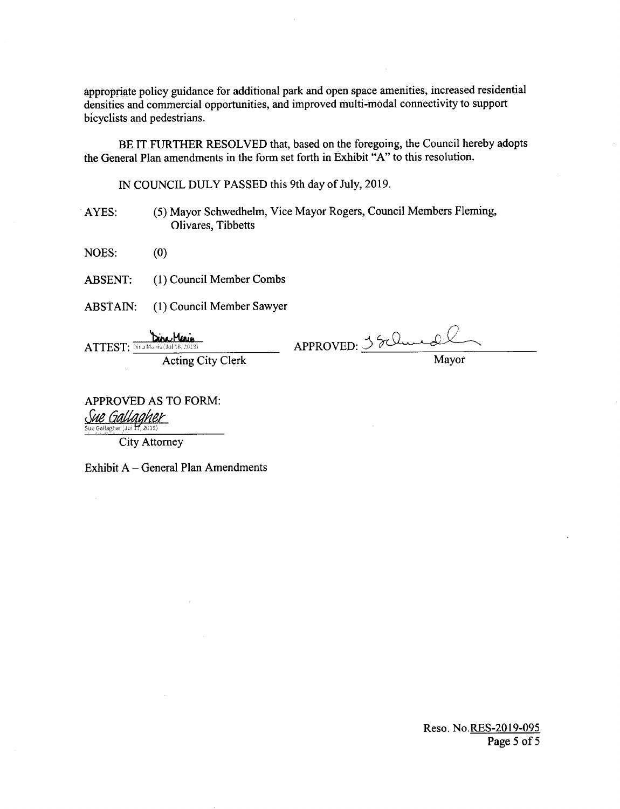appropriate policy guidance for additional park and open space amenities, increased residential densities and commercial opportunities, and improved multi-modal connectivity to support bicyclists and pedestrians.

BE IT FURTHER RESOLVED that, based on the foregoing, the Council hereby adopts the General Plan amendments in the form set forth in Exhibit "A" to this resolution.

IN COUNCIL DULY PASSED this 9th day of July, 2019.

(5) Mayor Schwedhelm, Vice Mayor Rogers, Council Members Fleming, AYES: Olivares, Tibbetts

NOES:  $(0)$ 

(1) Council Member Combs **ABSENT:** 

ABSTAIN: (1) Council Member Sawyer

Dire Meris ATTEST: Dina Manis (Jul 18, 2019) **Acting City Clerk**  APPROVED: 35 Clue 2

APPROVED AS TO FORM: Sue Gallagher

Sue Gallagher (Jul 17, 2019)

**City Attorney** 

Exhibit A - General Plan Amendments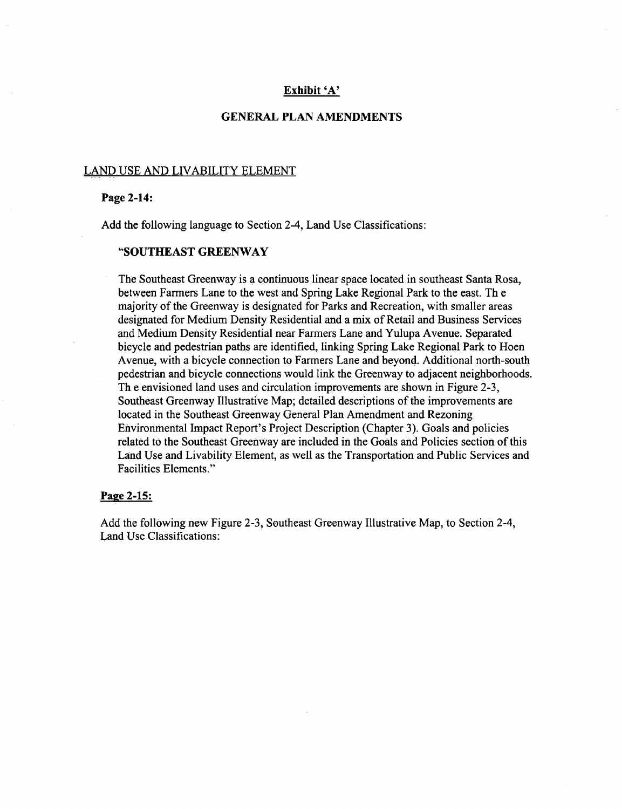### Exhibit 'A'

### GENERAL PLAN AMENDMENTS

#### LAND USE AND LIVABILITY ELEMENT

### Page 2-14:

Add the following language to Section 2-4, Land Use Classifications:

#### SOUTHEAST GREENWAY

The Southeast Greenway is a continuous linear space located in southeast Santa Rosa, between Farmers Lane to the west and Spring Lake Regional Park to the east. Th <sup>e</sup> majority of the Greenway is designated for Parks and Recreation, with smaller areas designated for Medium Density Residential and <sup>a</sup> mix of Retail and Business Services and Medium Density Residential near Farmers Lane and Yulupa Avenue. Separated bicycle and pedestrian paths are identified, linking Spring Lake Regional Park to Hoen Avenue, with a bicycle connection to Farmers Lane and beyond. Additional north -south pedestrian and bicycle connections would link the Greenway to adjacent neighborhoods. Th e envisioned land uses and circulation improvements are shown in Figure 2-3, Southeast Greenway Illustrative Map; detailed descriptions of the improvements are located in the Southeast Greenway General Plan Amendment and Rezoning Environmental Impact Report's Project Description (Chapter 3). Goals and policies related to the Southeast Greenway are included in the Goals and Policies section ofthis Land Use and Livability Element, as well as the Transportation and Public Services and Facilities Elements."

#### Page 2-15:

Add the following new Figure 2-3, Southeast Greenway Illustrative Map, to Section 2-4, Land Use Classifications: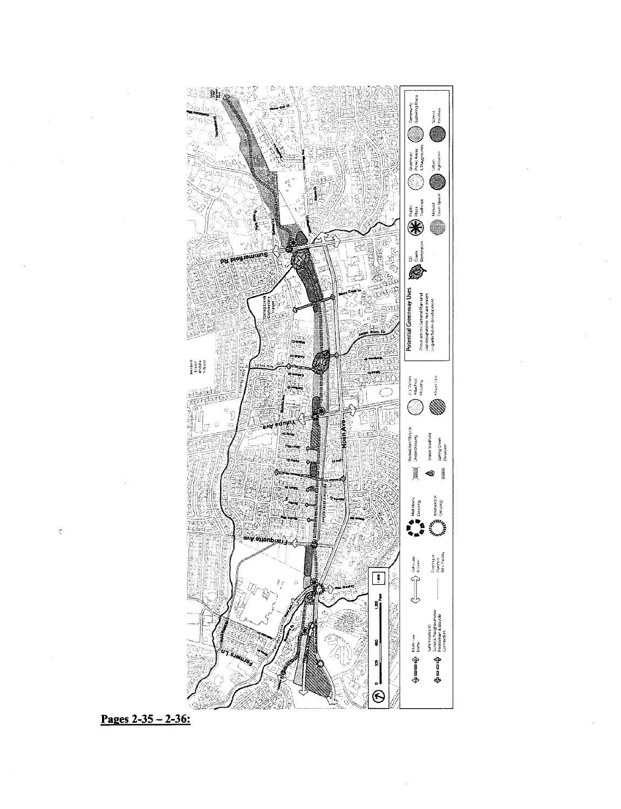

Pages  $2 - 35 - 2 - 36$ :

 $\tilde{\chi}$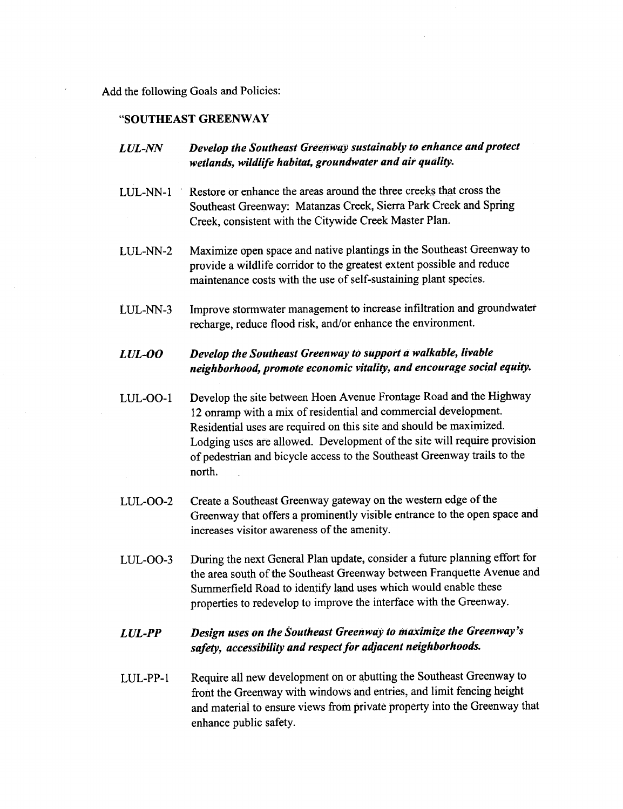Add the following Goals and Policies:

### SOUTHEAST GREENWAY

- LUL-NN Develop the Southeast Greenway sustainably to enhance and protect wetlands, wildlife habitat, groundwater and air quality.
- LUL-NN- <sup>1</sup>' Restore or enhance the areas around the three creeks that cross the Southeast Greenway: Matanzas Creek, Sierra Park Creek and Spring Creek, consistent with the Citywide Creek Master Plan.
- LUL-NN-2 Maximize open space and native plantings in the Southeast Greenway to provide a wildlife corridor to the greatest extent possible and reduce maintenance costs with the use of self-sustaining plant species.
- LUL-NN-3 Improve stormwater management to increase infiltration and groundwater recharge, reduce flood risk, and/or enhance the environment.

# LUL-OO Develop the Southeast Greenway to support a walkable, livable neighborhood, promote economic vitality, and encourage social equity.

- LUL-OO-1 Develop the site between Hoen Avenue Frontage Road and the Highway <sup>12</sup> onramp with <sup>a</sup> mix of residential and commercial development. Residential uses are required on this site and should be maximized. Lodging uses are allowed. Development of the site will require provision of pedestrian and bicycle access to the Southeast Greenway trails to the north.
- LUL-00-2 Create <sup>a</sup> Southeast Greenway gateway on the western edge of the Greenway that offers a prominently visible entrance to the open space and increases visitor awareness of the amenity.
- LUL-00-3 During the next General Plan update, consider <sup>a</sup> future planning effort for the area south of the Southeast Greenway between Franquette Avenue and Summerfield Road to identify land uses which would enable these properties to redevelop to improve the interface with the Greenway.

# LUL-PP Design uses on the Southeast Greenway to maximize the Greenway's safety, accessibility and respect for adjacent neighborhoods.

LUL- PP- <sup>1</sup> Require all new development on or abutting the Southeast Greenway to front the Greenway with windows and entries, and limit fencing height and material to ensure views from private property into the Greenway that enhance public safety.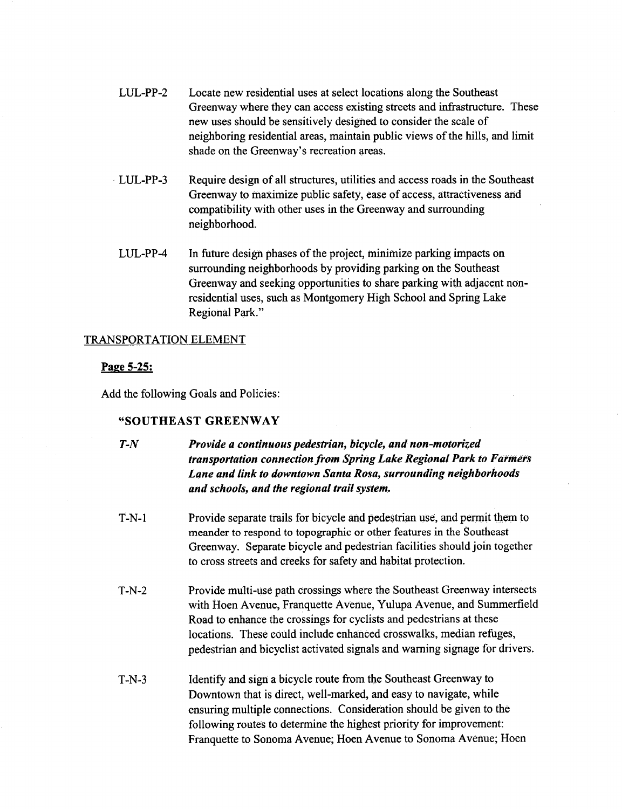- LUL-PP-2 Locate new residential uses at select locations along the Southeast Greenway where they can access existing streets and infrastructure. These new uses should be sensitively designed to consider the scale of neighboring residential areas, maintain public views of the hills, and limit shade on the Greenway's recreation areas.
- LUL-PP-3 Require design of all structures, utilities and access roads in the Southeast Greenway to maximize public safety, ease of access, attractiveness and compatibility with other uses in the Greenway and surrounding neighborhood.
- LUL-PP-4 In future design phases of the project, minimize parking impacts on surrounding neighborhoods by providing parking on the Southeast Greenway and seeking opportunities to share parking with adjacent nonresidential uses, such as Montgomery High School and Spring Lake Regional Park."

## TRANSPORTATION ELEMENT

### Page 5-25:

Add the following Goals and Policies:

## SOUTHEAST GREENWAY

- T-N Provide <sup>a</sup> continuous pedestrian, bicycle, and non -motorized transportation connection from Spring Lake Regional Park to Farmers Lane and link to downtown Santa Rosa, surrounding neighborhoods and schools, and the regional trail system.
- T-N-1 Provide separate trails for bicycle and pedestrian use, and permit them to meander to respond to topographic or other features in the Southeast Greenway. Separate bicycle and pedestrian facilities should join together to cross streets and creeks for safety and habitat protection.
- T-N-2 Provide multi-use path crossings where the Southeast Greenway intersects with Hoen Avenue, Franquette Avenue, Yulupa Avenue, and Summerfield Road to enhance the crossings for cyclists and pedestrians at these locations. These could include enhanced crosswalks, median refuges, pedestrian and bicyclist activated signals and warning signage for drivers.
- T-N-3 Identify and sign a bicycle route from the Southeast Greenway to Downtown that is direct, well-marked, and easy to navigate, while ensuring multiple connections. Consideration should be given to the following routes to determine the highest priority for improvement: Franquette to Sonoma Avenue; Hoen Avenue to Sonoma Avenue; Hoen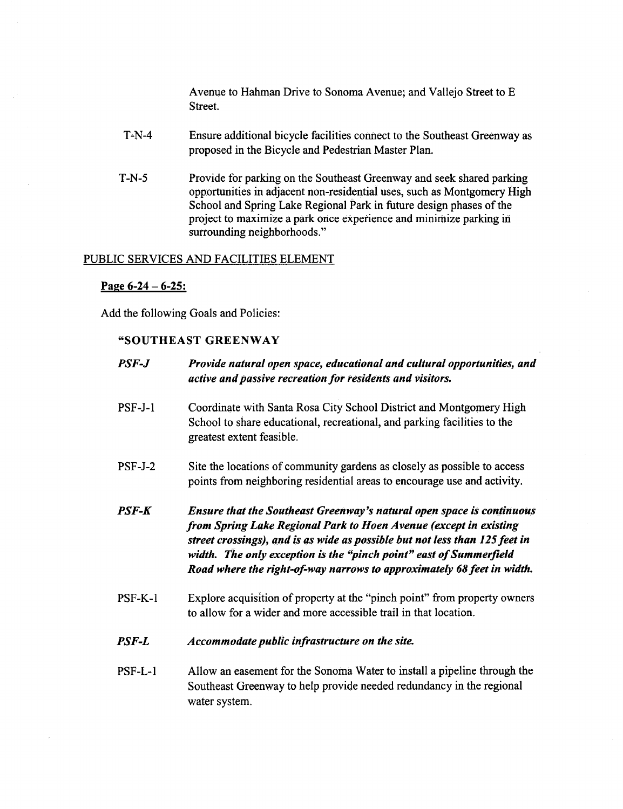Avenue to Hahman Drive to Sonoma Avenue; and Vallejo Street to E Street.

- T-N-4 Ensure additional bicycle facilities connect to the Southeast Greenway as proposed in the Bicycle and Pedestrian Master Plan.
- T-N-5 Provide for parking on the Southeast Greenway and seek shared parking opportunities in adjacent non-residential uses, such as Montgomery High School and Spring Lake Regional Park in future design phases of the project to maximize a park once experience and minimize parking in surrounding neighborhoods."

## PUBLIC SERVICES AND FACILITIES ELEMENT

### Page  $6-24 - 6-25$ :

Add the following Goals and Policies:

## SOUTHEAST GREENWAY

| PSF-J     | Provide natural open space, educational and cultural opportunities, and<br>active and passive recreation for residents and visitors.                                                                                                                                                                                                                                             |  |
|-----------|----------------------------------------------------------------------------------------------------------------------------------------------------------------------------------------------------------------------------------------------------------------------------------------------------------------------------------------------------------------------------------|--|
| $PSF-J-1$ | Coordinate with Santa Rosa City School District and Montgomery High<br>School to share educational, recreational, and parking facilities to the<br>greatest extent feasible.                                                                                                                                                                                                     |  |
| $PSF-J-2$ | Site the locations of community gardens as closely as possible to access<br>points from neighboring residential areas to encourage use and activity.                                                                                                                                                                                                                             |  |
| PSF-K     | <b>Ensure that the Southeast Greenway's natural open space is continuous</b><br>from Spring Lake Regional Park to Hoen Avenue (except in existing<br>street crossings), and is as wide as possible but not less than 125 feet in<br>width. The only exception is the "pinch point" east of Summerfield<br>Road where the right-of-way narrows to approximately 68 feet in width. |  |
| PSF-K-1   | Explore acquisition of property at the "pinch point" from property owners<br>to allow for a wider and more accessible trail in that location.                                                                                                                                                                                                                                    |  |
| PSF-L     | Accommodate public infrastructure on the site.                                                                                                                                                                                                                                                                                                                                   |  |

PSF-L-1 Allow an easement for the Sonoma Water to install a pipeline through the Southeast Greenway to help provide needed redundancy in the regional water system.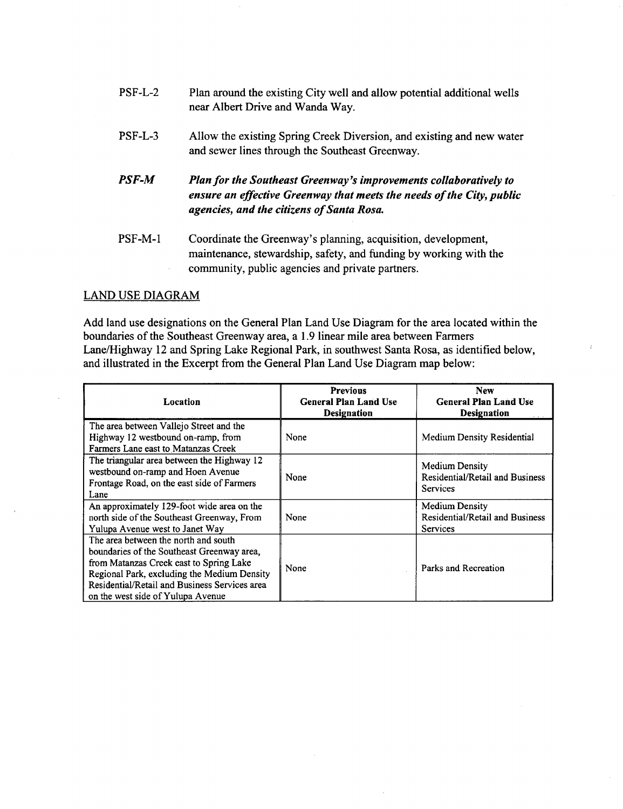- PSF-L-2 Plan around the existing City well and allow potential additional wells near Albert Drive and Wanda Way.
- PSF-L-3 Allow the existing Spring Creek Diversion, and existing and new water and sewer lines through the Southeast Greenway.
- PSF-M Plan for the Southeast Greenway's improvements collaboratively to ensure an effective Greenway that meets the needs of the City, public agencies, and the citizens of Santa Rosa.
- PSF-M-1 Coordinate the Greenway's planning, acquisition, development, maintenance, stewardship, safety, and funding by working with the community, public agencies and private partners.

## LAND USE DIAGRAM

Add land use designations on the General Plan Land Use Diagram for the area located within the boundaries of the Southeast Greenway area, a 1. 9 linear mile area between Farmers Lane/ Highway 12 and Spring Lake Regional Park, in southwest Santa Rosa, as identified below, and illustrated in the Excerpt from the General Plan Land Use Diagram map below:

| <b>Location</b>                                                                                                                                                                                                                                                    | <b>Previous</b><br><b>General Plan Land Use</b><br><b>Designation</b> | <b>New</b><br><b>General Plan Land Use</b><br><b>Designation</b>                   |
|--------------------------------------------------------------------------------------------------------------------------------------------------------------------------------------------------------------------------------------------------------------------|-----------------------------------------------------------------------|------------------------------------------------------------------------------------|
| The area between Vallejo Street and the<br>Highway 12 westbound on-ramp, from<br>Farmers Lane east to Matanzas Creek                                                                                                                                               | None                                                                  | Medium Density Residential                                                         |
| The triangular area between the Highway 12<br>westbound on-ramp and Hoen Avenue<br>Frontage Road, on the east side of Farmers<br>Lane                                                                                                                              | None                                                                  | <b>Medium Density</b><br>Residential/Retail and Business<br><b>Services</b>        |
| An approximately 129-foot wide area on the<br>north side of the Southeast Greenway, From<br>Yulupa Avenue west to Janet Way                                                                                                                                        | None                                                                  | <b>Medium Density</b><br><b>Residential/Retail and Business</b><br><b>Services</b> |
| The area between the north and south<br>boundaries of the Southeast Greenway area,<br>from Matanzas Creek east to Spring Lake<br>Regional Park, excluding the Medium Density<br>Residential/Retail and Business Services area<br>on the west side of Yulupa Avenue | None                                                                  | Parks and Recreation                                                               |